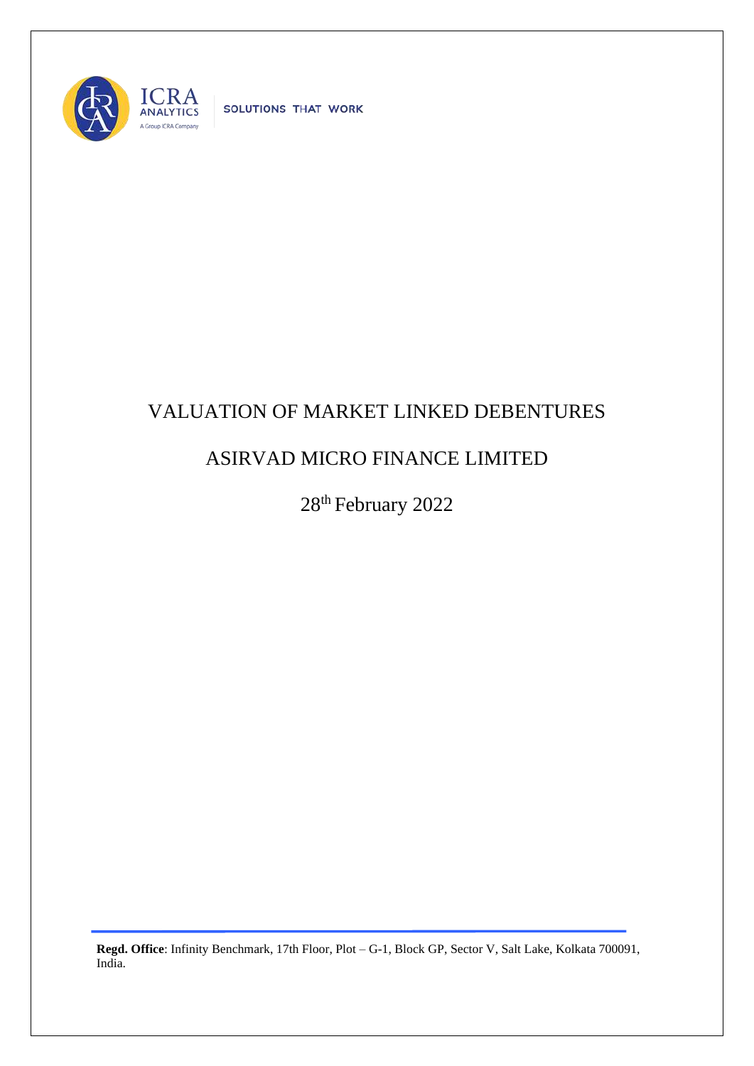

SOLUTIONS THAT WORK

## VALUATION OF MARKET LINKED DEBENTURES

## ASIRVAD MICRO FINANCE LIMITED

28<sup>th</sup> February 2022

**Regd. Office**: Infinity Benchmark, 17th Floor, Plot – G-1, Block GP, Sector V, Salt Lake, Kolkata 700091, India.